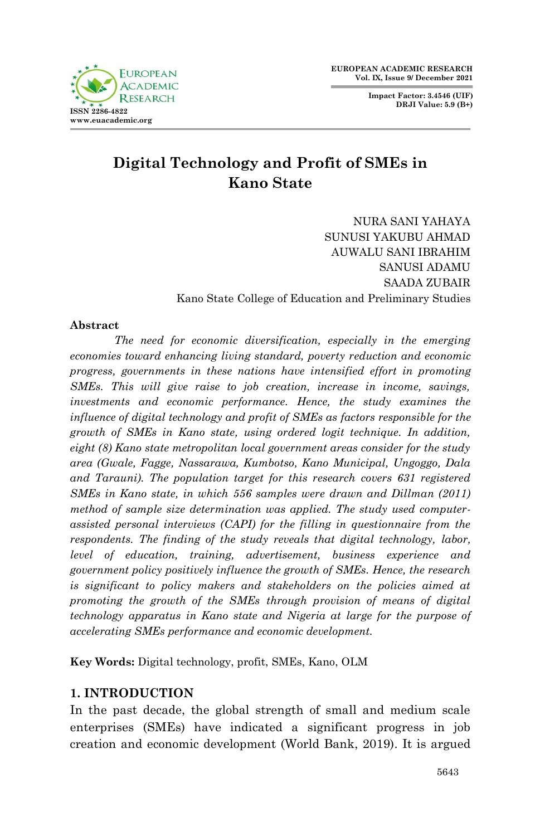**Impact Factor: 3.4546 (UIF) DRJI Value: 5.9 (B+)**



# **Digital Technology and Profit of SMEs in Kano State**

NURA SANI YAHAYA SUNUSI YAKUBU AHMAD AUWALU SANI IBRAHIM SANUSI ADAMU SAADA ZUBAIR Kano State College of Education and Preliminary Studies

#### **Abstract**

*The need for economic diversification, especially in the emerging economies toward enhancing living standard, poverty reduction and economic progress, governments in these nations have intensified effort in promoting SMEs. This will give raise to job creation, increase in income, savings, investments and economic performance. Hence, the study examines the influence of digital technology and profit of SMEs as factors responsible for the growth of SMEs in Kano state, using ordered logit technique. In addition, eight (8) Kano state metropolitan local government areas consider for the study area (Gwale, Fagge, Nassarawa, Kumbotso, Kano Municipal, Ungoggo, Dala and Tarauni). The population target for this research covers 631 registered SMEs in Kano state, in which 556 samples were drawn and Dillman (2011) method of sample size determination was applied. The study used computerassisted personal interviews (CAPI) for the filling in questionnaire from the respondents. The finding of the study reveals that digital technology, labor, level of education, training, advertisement, business experience and government policy positively influence the growth of SMEs. Hence, the research is significant to policy makers and stakeholders on the policies aimed at promoting the growth of the SMEs through provision of means of digital technology apparatus in Kano state and Nigeria at large for the purpose of accelerating SMEs performance and economic development.*

**Key Words:** Digital technology, profit, SMEs, Kano, OLM

# **1. INTRODUCTION**

In the past decade, the global strength of small and medium scale enterprises (SMEs) have indicated a significant progress in job creation and economic development (World Bank, 2019). It is argued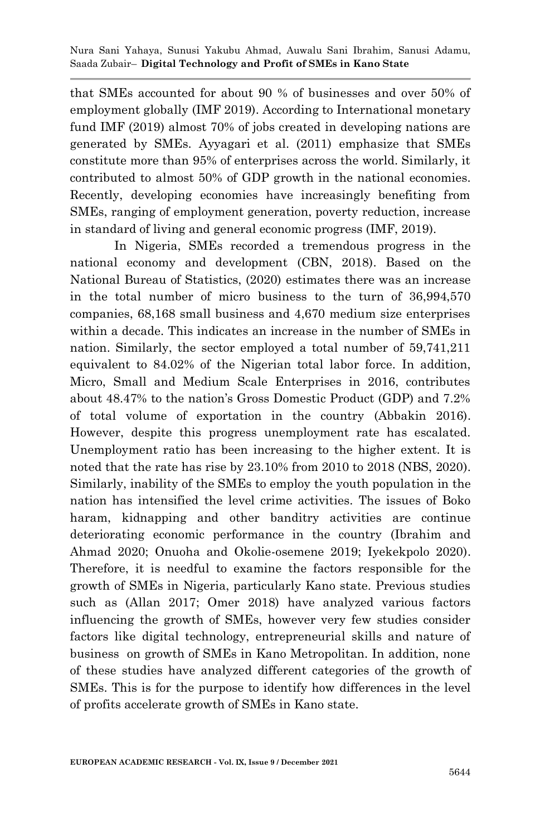that SMEs accounted for about 90 % of businesses and over 50% of employment globally (IMF 2019). According to International monetary fund IMF (2019) almost 70% of jobs created in developing nations are generated by SMEs. Ayyagari et al. (2011) emphasize that SMEs constitute more than 95% of enterprises across the world. Similarly, it contributed to almost 50% of GDP growth in the national economies. Recently, developing economies have increasingly benefiting from SMEs, ranging of employment generation, poverty reduction, increase in standard of living and general economic progress (IMF, 2019).

In Nigeria, SMEs recorded a tremendous progress in the national economy and development (CBN, 2018). Based on the National Bureau of Statistics, (2020) estimates there was an increase in the total number of micro business to the turn of 36,994,570 companies, 68,168 small business and 4,670 medium size enterprises within a decade. This indicates an increase in the number of SMEs in nation. Similarly, the sector employed a total number of 59,741,211 equivalent to 84.02% of the Nigerian total labor force. In addition, Micro, Small and Medium Scale Enterprises in 2016, contributes about 48.47% to the nation's Gross Domestic Product (GDP) and 7.2% of total volume of exportation in the country (Abbakin 2016). However, despite this progress unemployment rate has escalated. Unemployment ratio has been increasing to the higher extent. It is noted that the rate has rise by 23.10% from 2010 to 2018 (NBS, 2020). Similarly, inability of the SMEs to employ the youth population in the nation has intensified the level crime activities. The issues of Boko haram, kidnapping and other banditry activities are continue deteriorating economic performance in the country (Ibrahim and Ahmad 2020; Onuoha and Okolie-osemene 2019; Iyekekpolo 2020). Therefore, it is needful to examine the factors responsible for the growth of SMEs in Nigeria, particularly Kano state. Previous studies such as (Allan 2017; Omer 2018) have analyzed various factors influencing the growth of SMEs, however very few studies consider factors like digital technology, entrepreneurial skills and nature of business on growth of SMEs in Kano Metropolitan. In addition, none of these studies have analyzed different categories of the growth of SMEs. This is for the purpose to identify how differences in the level of profits accelerate growth of SMEs in Kano state.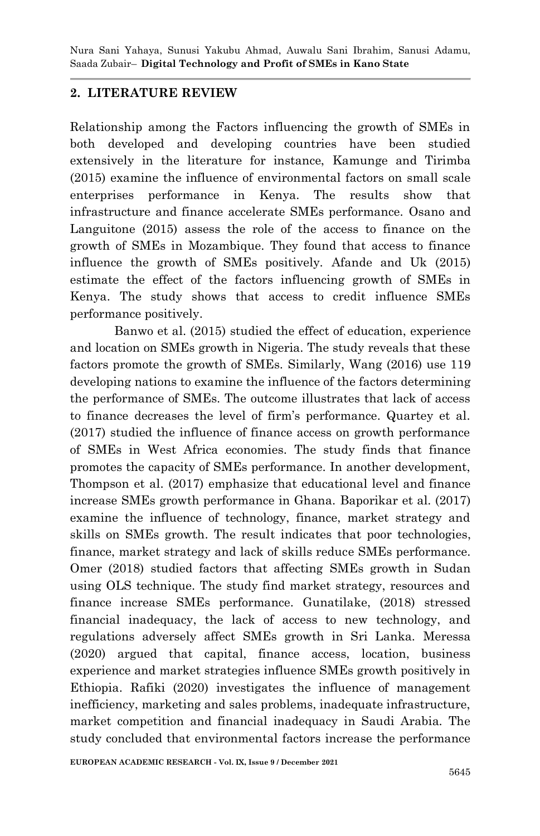### **2. LITERATURE REVIEW**

Relationship among the Factors influencing the growth of SMEs in both developed and developing countries have been studied extensively in the literature for instance, Kamunge and Tirimba (2015) examine the influence of environmental factors on small scale enterprises performance in Kenya. The results show that infrastructure and finance accelerate SMEs performance. Osano and Languitone (2015) assess the role of the access to finance on the growth of SMEs in Mozambique. They found that access to finance influence the growth of SMEs positively. Afande and Uk (2015) estimate the effect of the factors influencing growth of SMEs in Kenya. The study shows that access to credit influence SMEs performance positively.

Banwo et al. (2015) studied the effect of education, experience and location on SMEs growth in Nigeria. The study reveals that these factors promote the growth of SMEs. Similarly, Wang (2016) use 119 developing nations to examine the influence of the factors determining the performance of SMEs. The outcome illustrates that lack of access to finance decreases the level of firm's performance. Quartey et al. (2017) studied the influence of finance access on growth performance of SMEs in West Africa economies. The study finds that finance promotes the capacity of SMEs performance. In another development, Thompson et al. (2017) emphasize that educational level and finance increase SMEs growth performance in Ghana. Baporikar et al. (2017) examine the influence of technology, finance, market strategy and skills on SMEs growth. The result indicates that poor technologies, finance, market strategy and lack of skills reduce SMEs performance. Omer (2018) studied factors that affecting SMEs growth in Sudan using OLS technique. The study find market strategy, resources and finance increase SMEs performance. Gunatilake, (2018) stressed financial inadequacy, the lack of access to new technology, and regulations adversely affect SMEs growth in Sri Lanka. Meressa (2020) argued that capital, finance access, location, business experience and market strategies influence SMEs growth positively in Ethiopia. Rafiki (2020) investigates the influence of management inefficiency, marketing and sales problems, inadequate infrastructure, market competition and financial inadequacy in Saudi Arabia. The study concluded that environmental factors increase the performance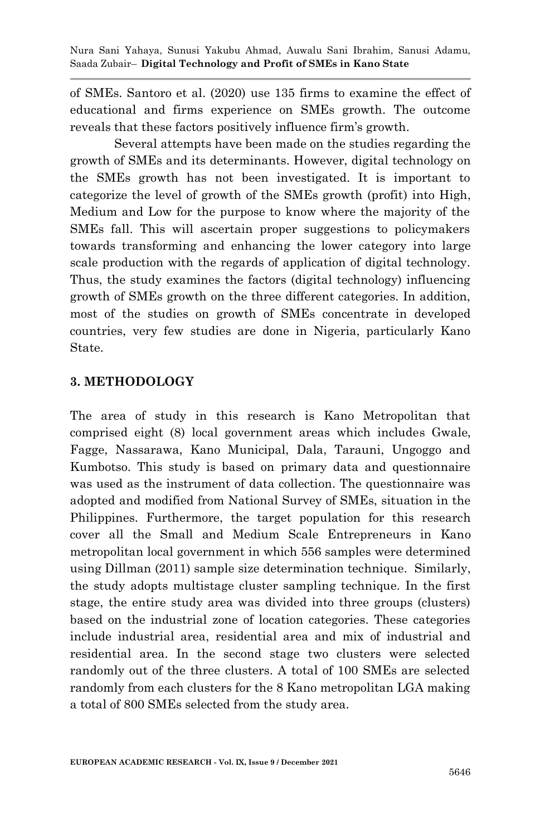of SMEs. Santoro et al. (2020) use 135 firms to examine the effect of educational and firms experience on SMEs growth. The outcome reveals that these factors positively influence firm's growth.

Several attempts have been made on the studies regarding the growth of SMEs and its determinants. However, digital technology on the SMEs growth has not been investigated. It is important to categorize the level of growth of the SMEs growth (profit) into High, Medium and Low for the purpose to know where the majority of the SMEs fall. This will ascertain proper suggestions to policymakers towards transforming and enhancing the lower category into large scale production with the regards of application of digital technology. Thus, the study examines the factors (digital technology) influencing growth of SMEs growth on the three different categories. In addition, most of the studies on growth of SMEs concentrate in developed countries, very few studies are done in Nigeria, particularly Kano State.

#### **3. METHODOLOGY**

The area of study in this research is Kano Metropolitan that comprised eight (8) local government areas which includes Gwale, Fagge, Nassarawa, Kano Municipal, Dala, Tarauni, Ungoggo and Kumbotso. This study is based on primary data and questionnaire was used as the instrument of data collection. The questionnaire was adopted and modified from National Survey of SMEs, situation in the Philippines. Furthermore, the target population for this research cover all the Small and Medium Scale Entrepreneurs in Kano metropolitan local government in which 556 samples were determined using Dillman (2011) sample size determination technique. Similarly, the study adopts multistage cluster sampling technique. In the first stage, the entire study area was divided into three groups (clusters) based on the industrial zone of location categories. These categories include industrial area, residential area and mix of industrial and residential area. In the second stage two clusters were selected randomly out of the three clusters. A total of 100 SMEs are selected randomly from each clusters for the 8 Kano metropolitan LGA making a total of 800 SMEs selected from the study area.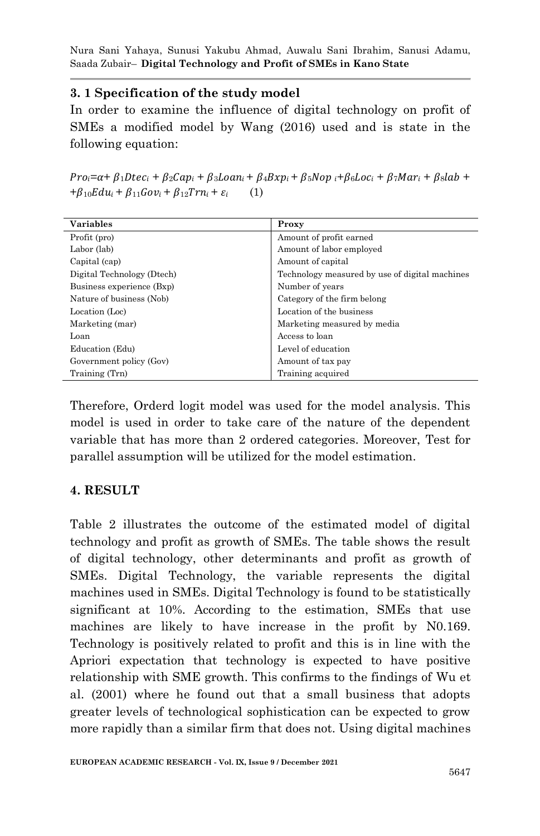## **3. 1 Specification of the study model**

In order to examine the influence of digital technology on profit of SMEs a modified model by Wang (2016) used and is state in the following equation:

 $Pro_i = \alpha + \beta_1 Dtec_i + \beta_2 Cap_i + \beta_3 Loan_i + \beta_4 Bxpi + \beta_5 Nop_i + \beta_6 Loc_i + \beta_7 Mar_i + \beta_8 lab +$  $+\beta_{10} E du_i + \beta_{11} Gov_i + \beta_{12} Trn_i + \varepsilon_i$  (1)

| <b>Variables</b>           | Proxy                                          |  |
|----------------------------|------------------------------------------------|--|
| Profit (pro)               | Amount of profit earned                        |  |
| Labor (lab)                | Amount of labor employed                       |  |
| Capital (cap)              | Amount of capital                              |  |
| Digital Technology (Dtech) | Technology measured by use of digital machines |  |
| Business experience (Bxp)  | Number of years                                |  |
| Nature of business (Nob)   | Category of the firm belong                    |  |
| Location (Loc)             | Location of the business                       |  |
| Marketing (mar)            | Marketing measured by media                    |  |
| Loan                       | Access to loan                                 |  |
| Education (Edu)            | Level of education                             |  |
| Government policy (Gov)    | Amount of tax pay                              |  |
| Training (Trn)             | Training acquired                              |  |

Therefore, Orderd logit model was used for the model analysis. This model is used in order to take care of the nature of the dependent variable that has more than 2 ordered categories. Moreover, Test for parallel assumption will be utilized for the model estimation.

# **4. RESULT**

Table 2 illustrates the outcome of the estimated model of digital technology and profit as growth of SMEs. The table shows the result of digital technology, other determinants and profit as growth of SMEs. Digital Technology, the variable represents the digital machines used in SMEs. Digital Technology is found to be statistically significant at 10%. According to the estimation, SMEs that use machines are likely to have increase in the profit by N0.169. Technology is positively related to profit and this is in line with the Apriori expectation that technology is expected to have positive relationship with SME growth. This confirms to the findings of Wu et al. (2001) where he found out that a small business that adopts greater levels of technological sophistication can be expected to grow more rapidly than a similar firm that does not. Using digital machines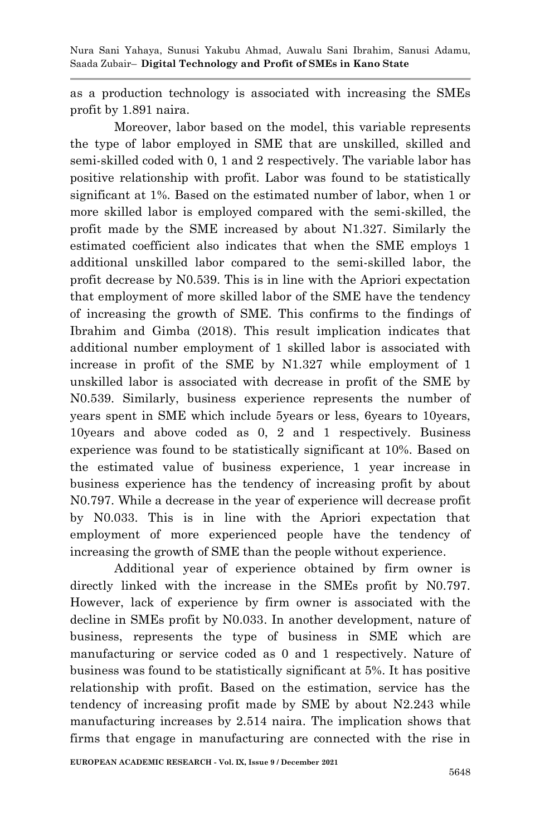as a production technology is associated with increasing the SMEs profit by 1.891 naira.

Moreover, labor based on the model, this variable represents the type of labor employed in SME that are unskilled, skilled and semi-skilled coded with 0, 1 and 2 respectively. The variable labor has positive relationship with profit. Labor was found to be statistically significant at 1%. Based on the estimated number of labor, when 1 or more skilled labor is employed compared with the semi-skilled, the profit made by the SME increased by about N1.327. Similarly the estimated coefficient also indicates that when the SME employs 1 additional unskilled labor compared to the semi-skilled labor, the profit decrease by N0.539. This is in line with the Apriori expectation that employment of more skilled labor of the SME have the tendency of increasing the growth of SME. This confirms to the findings of Ibrahim and Gimba (2018). This result implication indicates that additional number employment of 1 skilled labor is associated with increase in profit of the SME by N1.327 while employment of 1 unskilled labor is associated with decrease in profit of the SME by N0.539. Similarly, business experience represents the number of years spent in SME which include 5years or less, 6years to 10years, 10years and above coded as 0, 2 and 1 respectively. Business experience was found to be statistically significant at 10%. Based on the estimated value of business experience, 1 year increase in business experience has the tendency of increasing profit by about N0.797. While a decrease in the year of experience will decrease profit by N0.033. This is in line with the Apriori expectation that employment of more experienced people have the tendency of increasing the growth of SME than the people without experience.

Additional year of experience obtained by firm owner is directly linked with the increase in the SMEs profit by N0.797. However, lack of experience by firm owner is associated with the decline in SMEs profit by N0.033. In another development, nature of business, represents the type of business in SME which are manufacturing or service coded as 0 and 1 respectively. Nature of business was found to be statistically significant at 5%. It has positive relationship with profit. Based on the estimation, service has the tendency of increasing profit made by SME by about N2.243 while manufacturing increases by 2.514 naira. The implication shows that firms that engage in manufacturing are connected with the rise in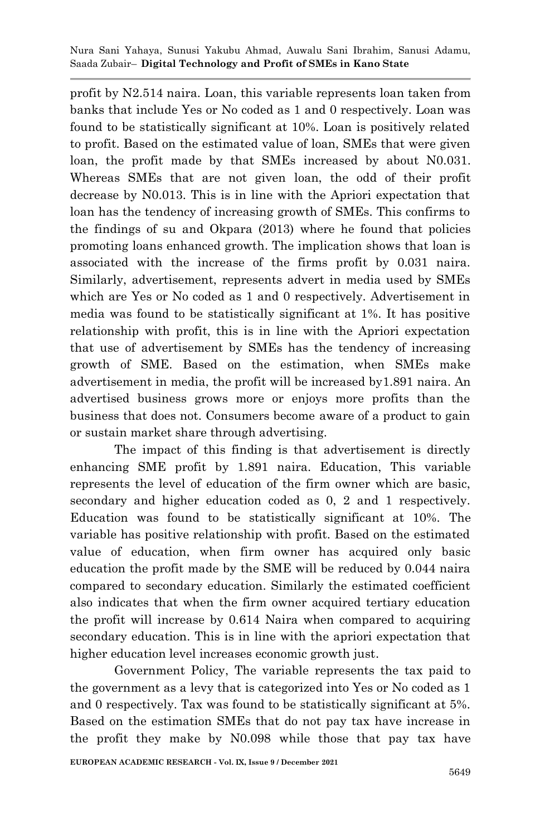profit by N2.514 naira. Loan, this variable represents loan taken from banks that include Yes or No coded as 1 and 0 respectively. Loan was found to be statistically significant at 10%. Loan is positively related to profit. Based on the estimated value of loan, SMEs that were given loan, the profit made by that SMEs increased by about N0.031. Whereas SMEs that are not given loan, the odd of their profit decrease by N0.013. This is in line with the Apriori expectation that loan has the tendency of increasing growth of SMEs. This confirms to the findings of su and Okpara (2013) where he found that policies promoting loans enhanced growth. The implication shows that loan is associated with the increase of the firms profit by 0.031 naira. Similarly, advertisement, represents advert in media used by SMEs which are Yes or No coded as 1 and 0 respectively. Advertisement in media was found to be statistically significant at 1%. It has positive relationship with profit, this is in line with the Apriori expectation that use of advertisement by SMEs has the tendency of increasing growth of SME. Based on the estimation, when SMEs make advertisement in media, the profit will be increased by1.891 naira. An advertised business grows more or enjoys more profits than the business that does not. Consumers become aware of a product to gain or sustain market share through advertising.

The impact of this finding is that advertisement is directly enhancing SME profit by 1.891 naira. Education, This variable represents the level of education of the firm owner which are basic, secondary and higher education coded as 0, 2 and 1 respectively. Education was found to be statistically significant at 10%. The variable has positive relationship with profit. Based on the estimated value of education, when firm owner has acquired only basic education the profit made by the SME will be reduced by 0.044 naira compared to secondary education. Similarly the estimated coefficient also indicates that when the firm owner acquired tertiary education the profit will increase by 0.614 Naira when compared to acquiring secondary education. This is in line with the apriori expectation that higher education level increases economic growth just.

Government Policy, The variable represents the tax paid to the government as a levy that is categorized into Yes or No coded as 1 and 0 respectively. Tax was found to be statistically significant at 5%. Based on the estimation SMEs that do not pay tax have increase in the profit they make by N0.098 while those that pay tax have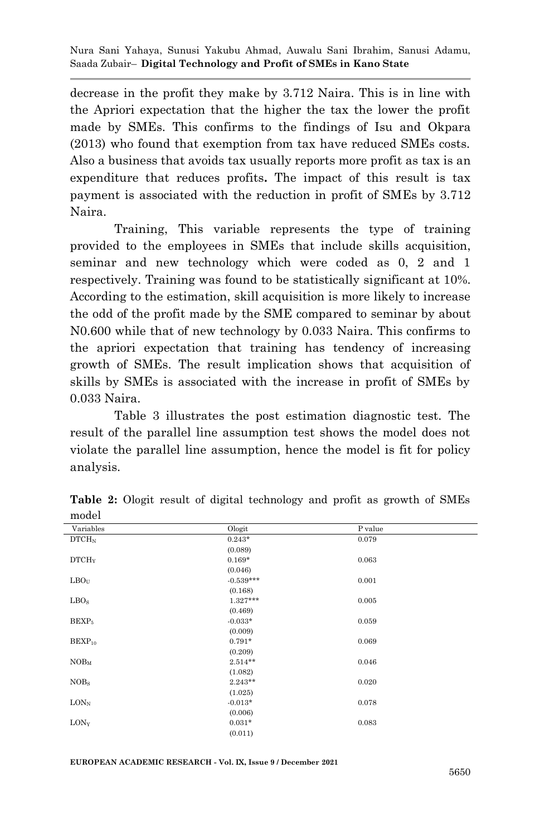decrease in the profit they make by 3.712 Naira. This is in line with the Apriori expectation that the higher the tax the lower the profit made by SMEs. This confirms to the findings of Isu and Okpara (2013) who found that exemption from tax have reduced SMEs costs. Also a business that avoids tax usually reports more profit as tax is an expenditure that reduces profits**.** The impact of this result is tax payment is associated with the reduction in profit of SMEs by 3.712 Naira.

Training, This variable represents the type of training provided to the employees in SMEs that include skills acquisition, seminar and new technology which were coded as 0, 2 and 1 respectively. Training was found to be statistically significant at 10%. According to the estimation, skill acquisition is more likely to increase the odd of the profit made by the SME compared to seminar by about N0.600 while that of new technology by 0.033 Naira. This confirms to the apriori expectation that training has tendency of increasing growth of SMEs. The result implication shows that acquisition of skills by SMEs is associated with the increase in profit of SMEs by 0.033 Naira.

Table 3 illustrates the post estimation diagnostic test. The result of the parallel line assumption test shows the model does not violate the parallel line assumption, hence the model is fit for policy analysis.

| Variables         | Ologit      | P value |
|-------------------|-------------|---------|
| DTCH <sub>N</sub> | $0.243*$    | 0.079   |
|                   | (0.089)     |         |
| DTCH <sub>Y</sub> | $0.169*$    | 0.063   |
|                   | (0.046)     |         |
| LBO <sub>U</sub>  | $-0.539***$ | 0.001   |
|                   | (0.168)     |         |
| LBO <sub>S</sub>  | $1.327***$  | 0.005   |
|                   | (0.469)     |         |
| BEXP <sub>5</sub> | $-0.033*$   | 0.059   |
|                   | (0.009)     |         |
| $BEXP_{10}$       | $0.791*$    | 0.069   |
|                   | (0.209)     |         |
| NOB <sub>M</sub>  | $2.514**$   | 0.046   |
|                   | (1.082)     |         |
| NOBs              | $2.243**$   | 0.020   |
|                   | (1.025)     |         |
| $LON_N$           | $-0.013*$   | 0.078   |
|                   | (0.006)     |         |
| $LON_Y$           | $0.031*$    | 0.083   |
|                   | (0.011)     |         |

**Table 2:** Ologit result of digital technology and profit as growth of SMEs model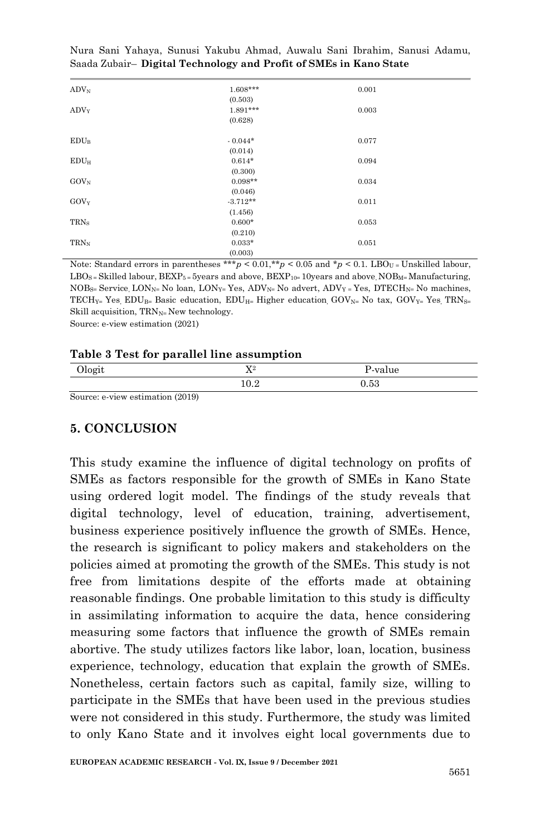| $\text{ADV}_\text{N}$ | $1.608***$ | 0.001 |  |
|-----------------------|------------|-------|--|
|                       | (0.503)    |       |  |
| $\rm{ADV}_Y$          | 1.891***   | 0.003 |  |
|                       | (0.628)    |       |  |
| $EDU_B$               | $-0.044*$  | 0.077 |  |
|                       | (0.014)    |       |  |
| $EDU_H$               | $0.614*$   | 0.094 |  |
|                       | (0.300)    |       |  |
| $GOV_N$               | $0.098**$  | 0.034 |  |
|                       | (0.046)    |       |  |
| $GOV_Y$               | $-3.712**$ | 0.011 |  |
|                       | (1.456)    |       |  |
| TRN <sub>S</sub>      | $0.600*$   | 0.053 |  |
|                       | (0.210)    |       |  |
| TRN <sub>N</sub>      | $0.033*$   | 0.051 |  |
|                       | (0.003)    |       |  |

Note: Standard errors in parentheses \*\*\* $p < 0.01$ ,\*\* $p < 0.05$  and \* $p < 0.1$ . LBO<sub>U</sub> = Unskilled labour,  $LBO_S = Skilled labour, BEXP_S = 5 \text{years}$  and above,  $BEXP_{10} = 10 \text{years}$  and above  $NOB_{M} = Manufacturing$ , NOB<sub>S</sub>= Service, LON<sub>N</sub>= No loan, LON<sub>Y</sub>= Yes, ADV<sub>N</sub>= No advert, ADV<sub>Y</sub> = Yes, DTECH<sub>N</sub>= No machines, TECH<sub>Y=</sub> Yes, EDU<sub>B=</sub> Basic education, EDU<sub>H=</sub> Higher education, GOV<sub>N=</sub> No tax, GOV<sub>Y=</sub> Yes, TRN<sub>S=</sub> Skill acquisition,  $TRN_N = New \teehnology$ .

Source: e-view estimation (2021)

#### **Table 3 Test for parallel line assumption**

| Ologit | <b>TTO</b><br>$\overline{1}$ | P-value |  |
|--------|------------------------------|---------|--|
|        | $\Omega$<br>10.44            | 1.53    |  |

Source: e-view estimation (2019)

### **5. CONCLUSION**

This study examine the influence of digital technology on profits of SMEs as factors responsible for the growth of SMEs in Kano State using ordered logit model. The findings of the study reveals that digital technology, level of education, training, advertisement, business experience positively influence the growth of SMEs. Hence, the research is significant to policy makers and stakeholders on the policies aimed at promoting the growth of the SMEs. This study is not free from limitations despite of the efforts made at obtaining reasonable findings. One probable limitation to this study is difficulty in assimilating information to acquire the data, hence considering measuring some factors that influence the growth of SMEs remain abortive. The study utilizes factors like labor, loan, location, business experience, technology, education that explain the growth of SMEs. Nonetheless, certain factors such as capital, family size, willing to participate in the SMEs that have been used in the previous studies were not considered in this study. Furthermore, the study was limited to only Kano State and it involves eight local governments due to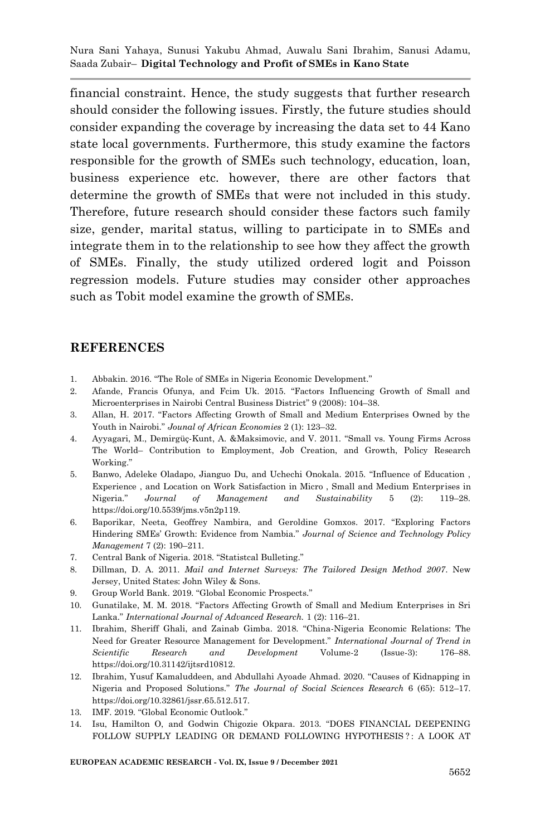financial constraint. Hence, the study suggests that further research should consider the following issues. Firstly, the future studies should consider expanding the coverage by increasing the data set to 44 Kano state local governments. Furthermore, this study examine the factors responsible for the growth of SMEs such technology, education, loan, business experience etc. however, there are other factors that determine the growth of SMEs that were not included in this study. Therefore, future research should consider these factors such family size, gender, marital status, willing to participate in to SMEs and integrate them in to the relationship to see how they affect the growth of SMEs. Finally, the study utilized ordered logit and Poisson regression models. Future studies may consider other approaches such as Tobit model examine the growth of SMEs.

#### **REFERENCES**

- 1. Abbakin. 2016. "The Role of SMEs in Nigeria Economic Development."
- 2. Afande, Francis Ofunya, and Fcim Uk. 2015. "Factors Influencing Growth of Small and Microenterprises in Nairobi Central Business District" 9 (2008): 104–38.
- 3. Allan, H. 2017. "Factors Affecting Growth of Small and Medium Enterprises Owned by the Youth in Nairobi." *Jounal of African Economies* 2 (1): 123–32.
- 4. Ayyagari, M., Demirgüç-Kunt, A. &Maksimovic, and V. 2011. "Small vs. Young Firms Across The World– Contribution to Employment, Job Creation, and Growth, Policy Research Working."
- 5. Banwo, Adeleke Oladapo, Jianguo Du, and Uchechi Onokala. 2015. "Influence of Education , Experience , and Location on Work Satisfaction in Micro , Small and Medium Enterprises in Nigeria." *Journal of Management and Sustainability* 5 (2): 119–28. https://doi.org/10.5539/jms.v5n2p119.
- 6. Baporikar, Neeta, Geoffrey Nambira, and Geroldine Gomxos. 2017. "Exploring Factors Hindering SMEs' Growth: Evidence from Nambia." *Journal of Science and Technology Policy Management* 7 (2): 190–211.
- 7. Central Bank of Nigeria. 2018. "Statistcal Bulleting."
- 8. Dillman, D. A. 2011. *Mail and Internet Surveys: The Tailored Design Method 2007*. New Jersey, United States: John Wiley & Sons.
- 9. Group World Bank. 2019. "Global Economic Prospects."
- 10. Gunatilake, M. M. 2018. "Factors Affecting Growth of Small and Medium Enterprises in Sri Lanka." *International Journal of Advanced Research.* 1 (2): 116–21.
- 11. Ibrahim, Sheriff Ghali, and Zainab Gimba. 2018. "China-Nigeria Economic Relations: The Need for Greater Resource Management for Development." *International Journal of Trend in Scientific Research and Development* Volume-2 (Issue-3): 176–88. https://doi.org/10.31142/ijtsrd10812.
- 12. Ibrahim, Yusuf Kamaluddeen, and Abdullahi Ayoade Ahmad. 2020. "Causes of Kidnapping in Nigeria and Proposed Solutions." *The Journal of Social Sciences Research* 6 (65): 512–17. https://doi.org/10.32861/jssr.65.512.517.
- 13. IMF. 2019. "Global Economic Outlook."
- 14. Isu, Hamilton O, and Godwin Chigozie Okpara. 2013. "DOES FINANCIAL DEEPENING FOLLOW SUPPLY LEADING OR DEMAND FOLLOWING HYPOTHESIS ? : A LOOK AT

**EUROPEAN ACADEMIC RESEARCH - Vol. IX, Issue 9 / December 2021**